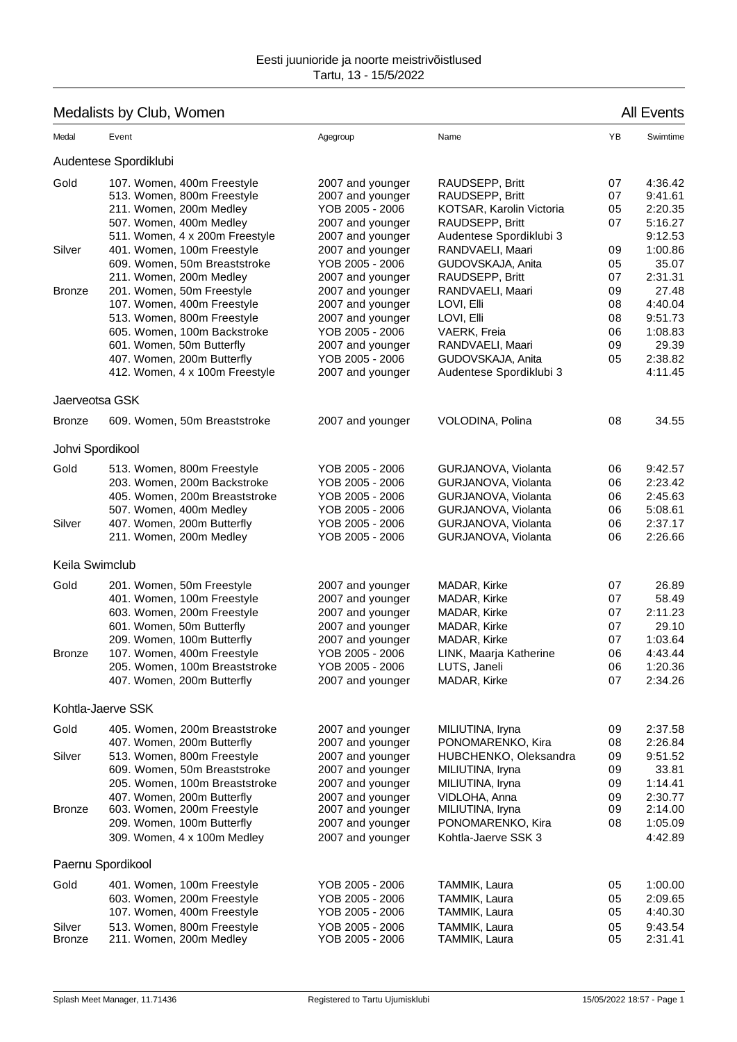## Medalists by Club, Women All Events and All Events and All Events and All Events and All Events

## Medal Event Agegroup Name YB Swimtime Audentese Spordiklubi Gold 107. Women, 400m Freestyle 2007 and younger RAUDSEPP, Britt 07 4:36.42<br>513. Women, 800m Freestyle 2007 and younger RAUDSEPP, Britt 07 9:41.61 513. Women, 800m Freestyle 211. Women, 200m Medley  $2005 - 2006$  KOTSAR, Karolin Victoria  $05$  2:20.35<br>16.27 The 2007 and vounger RAUDSEPP. Britt 07 5:16.27 507. Women, 400m Medley 2007 and younger 511. Women, 4 x 200m Freestyle 2007 and younger Audentese Spordiklubi 3 9:12.53 Silver 401. Women, 100m Freestyle 2007 and younger RANDVAELI, Maari 09 1:00.86 609. Women, 50m Breaststroke YOB 2005 - 2006 GUDOVSKAJA, Anita 05 35.07 211. Women, 200m Medley 2007 and younger RAUDSEPP, Britt 07 2:31.31 Bronze 201. Women, 50m Freestyle 2007 and younger RANDVAELI, Maari 09 27.48<br>2007 and younger 1.0VL Fili 1.0VL Fili 08 4:40.04 107. Women, 400m Freestyle 2007 and younger LOVI, Elli 513. Women, 800m Freestyle 2007 and younger LOVI, Elli 2007 2007 2007 and younger blues and the metal of the m 605. Women, 100m Backstroke YOB 2005 - 2006 VAERK, Freia 06 1:08.83 601. Women, 50m Butterfly 407. Women, 200m Butterfly YOB 2005 - 2006 GUDOVSKAJA, Anita 05 2:38.82 412. Women, 4 x 100m Freestyle 2007 and younger Audentese Spordiklubi 3 4:11.45 Jaerveotsa GSK Bronze 609. Women, 50m Breaststroke 2007 and younger VOLODINA, Polina 08 34.55 Johvi Spordikool Gold 513. Women, 800m Freestyle YOB 2005 - 2006 GURJANOVA, Violanta 06 9:42.57 203. Women, 200m Backstroke YOB 2005 - 2006 GURJANOVA, Violanta 06 2:23.42 405. Women, 200m Breaststroke YOB 2005 - 2006 GURJANOVA, Violanta 06 2:45.63 507. Women, 400m Medley YOB 2005 - 2006 GURJANOVA, Violanta 06 5:08.61 Silver 407. Women, 200m Butterfly YOB 2005 - 2006 GURJANOVA, Violanta 06 2:37.17 211. Women, 200m Medley YOB 2005 - 2006 GURJANOVA, Violanta 06 2:26.66 Keila Swimclub Gold 201. Women, 50m Freestyle 2007 and younger MADAR, Kirke 207 26.89 401. Women, 100m Freestyle 2007 and younger MADAR, Kirke 07 58.49 603. Women, 200m Freestyle 2007 and younger MADAR, Kirke 07 2:11.23 601. Women, 50m Butterfly 2007 and younger MADAR, Kirke 07 29.10 209. Women, 100m Butterfly 2007 and younger MADAR, Kirke 07 1:03.64 Bronze 107. Women, 400m Freestyle YOB 2005 - 2006 LINK, Maarja Katherine 06 4:43.44 205. Women, 100m Breaststroke YOB 2005 - 2006 LUTS, Janeli 06 1:20.36 407. Women, 200m Butterfly 2007 and younger MADAR, Kirke 07 2:34.26 Kohtla-Jaerve SSK Gold 405. Women, 200m Breaststroke 2007 and younger MILIUTINA, Iryna 2:37.58 407. Women, 200m Butterfly 2007 and younger PONOMARENKO, Kira 08 2:26.84 Silver 513. Women, 800m Freestyle 2007 and younger HUBCHENKO, Oleksandra 09 9:51.52 609. Women, 50m Breaststroke 2007 and younger MILIUTINA, Iryna 09 33.81 205. Women, 100m Breaststroke 2007 and younger MILIUTINA, Iryna 09 1:14.41 407. Women, 200m Butterfly **2007** and younger VIDLOHA, Anna **199** 2:30.77<br>14.00 603. Women. 200m Freestyle 2007 and younger MILIUTINA. Irvna **198** 2:14.00 Bronze 603. Women, 200m Freestyle 2007 and younger MILIUTINA, Iryna 09 2:14.00 209. Women, 100m Butterfly 2007 and younger PONOMARENKO, Kira 08 1:05.09 309. Women, 4 x 100m Medley 2007 and younger Kohtla-Jaerve SSK 3 4:42.89 Paernu Spordikool Gold 401. Women, 100m Freestyle YOB 2005 - 2006 TAMMIK, Laura 05 1:00.00 603. Women, 200m Freestyle YOB 2005 - 2006 TAMMIK, Laura 05 2:09.65 107. Women, 400m Freestyle YOB 2005 - 2006 TAMMIK, Laura 05 4:40.30 Silver 513. Women, 800m Freestyle 7OB 2005 - 2006 TAMMIK, Laura 05 9:43.54<br>Bronze 211. Women, 200m Medley YOB 2005 - 2006 TAMMIK, Laura 05 2:31.41 211. Women, 200m Medley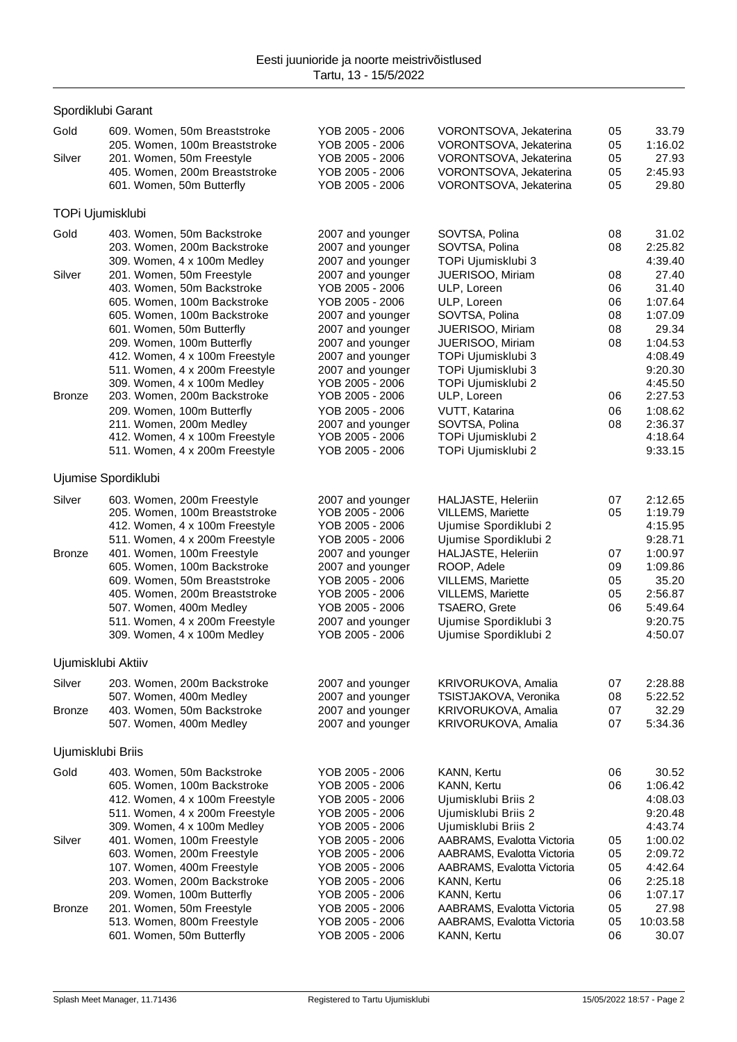## Gold 609. Women, 50m Breaststroke YOB 2005 - 2006 VORONTSOVA, Jekaterina 05 33.79 205. Women, 100m Breaststroke YOB 2005 - 2006 VORONTSOVA, Jekaterina 05 1:16.02 Silver 201. Women, 50m Freestyle YOB 2005 - 2006 VORONTSOVA, Jekaterina 05 27.93 405. Women, 200m Breaststroke YOB 2005 - 2006 VORONTSOVA, Jekaterina 05 2:45.93 601. Women, 50m Butterfly TOPi Ujumisklubi Gold 403. Women, 50m Backstroke 2007 and younger SOVTSA, Polina 208 31.02 203. Women, 200m Backstroke 2007 and younger SOVTSA, Polina 08 2:25.82 309. Women, 4 x 100m Medley 2007 and younger TOPi Ujumisklubi 3 4:39.40 Silver 201. Women, 50m Freestyle 2007 and younger JUERISOO, Miriam 08 27.40 403. Women, 50m Backstroke YOB 2005 - 2006 ULP, Loreen 06 31.40 605. Women, 100m Backstroke YOB 2005 - 2006 ULP, Loreen 06 1:07.64 605. Women, 100m Backstroke 2007 and younger SOVTSA, Polina 08 1:07.09 601. Women, 50m Butterfly 2007 and younger JUERISOO, Miriam 08 29.34 209. Women, 100m Butterfly 2007 and younger JUERISOO, Miriam 08 1:04.53<br>2007 and vounger TOPi Uiumisklubi 3 4:08.49 412. Women, 4 x 100m Freestyle 2007 and younger TOPi Ujumisklubi 3 4:08.49<br>511. Women. 4 x 200m Freestyle 2007 and younger TOPi Ujumisklubi 3 9:20.30 511. Women, 4 x 200m Freestyle 2007 and younger TOPi Ujumisklubi 3 309. Women, 4 x 100m Medley  $XOB 2005 - 2006$  TOPi Ujumisklubi 2 4:45.50<br>203. Women, 200m Backstroke  $YOB 2005 - 2006$  ULP, Loreen 06 2:27.53 Bronze 203. Women, 200m Backstroke YOB 2005 - 2006 ULP, Loreen 06 2:27.53 209. Women, 100m Butterfly YOB 2005 - 2006 VUTT, Katarina 06 1:08.62 211. Women, 200m Medley 2007 and younger SOVTSA, Polina 08 2:36.37 412. Women, 4 x 100m Freestyle YOB 2005 - 2006 TOPi Ujumisklubi 2 4:18.64 511. Women, 4 x 200m Freestyle YOB 2005 - 2006 TOPi Ujumisklubi 2 9:33.15 Ujumise Spordiklubi Silver 603. Women, 200m Freestyle 2007 and younger HALJASTE, Heleriin 07 2:12.65<br>205. Vomen, 100m Breaststroke 7OB 2005 - 2006 VILLEMS. Mariette 05 1:19.79 205. Women, 100m Breaststroke 412. Women, 4 x 100m Freestyle YOB 2005 - 2006 Ujumise Spordiklubi 2 4:15.95 511. Women, 4 x 200m Freestyle  $\begin{array}{r} \text{YOB } 2005 - 2006 \\ \text{101.} \text{Women} \end{array}$  Ujumise Spordiklubi 2 9:28.71 Bronze 401. Women, 100m Freestyle 2007 and younger HALJASTE, Heleriin 07 1:00.97 605. Women, 100m Backstroke 2007 and younger ROOP, Adele 09 1:09.86 609. Women, 50m Breaststroke YOB 2005 - 2006 VILLEMS, Mariette 05 35.20 405. Women, 200m Breaststroke YOB 2005 - 2006 VILLEMS, Mariette 05 2:56.87 507. Women, 400m Medley YOB 2005 - 2006 TSAERO, Grete 06 5:49.64 511. Women, 4 x 200m Freestyle 2007 and younger Ujumise Spordiklubi 3 9:20.75<br>309. Women, 4 x 100m Medley YOB 2005 - 2006 Ujumise Spordiklubi 2 4:50.07 309. Women, 4 x 100m Medley YOB 2005 - 2006 Ujumise Spordiklubi 2 4:50.07 Ujumisklubi Aktiiv Silver 203. Women, 200m Backstroke 2007 and younger KRIVORUKOVA, Amalia 07 2:28.88 507. Women, 400m Medley 2007 and younger TSISTJAKOVA, Veronika 08 5:22.52 Bronze 403. Women, 50m Backstroke 2007 and younger KRIVORUKOVA, Amalia 07 32.29 507. Women, 400m Medley 2007 and younger KRIVORUKOVA, Amalia 07 5:34.36 Ujumisklubi Briis Gold 403. Women, 50m Backstroke YOB 2005 - 2006 KANN, Kertu 06 30.52 605. Women, 100m Backstroke YOB 2005 - 2006 KANN, Kertu 06 1:06.42 412. Women, 4 x 100m Freestyle YOB 2005 - 2006 Ujumisklubi Briis 2 4:08.03 511. Women, 4 x 200m Freestyle YOB 2005 - 2006 Ujumisklubi Briis 2 9:20.48 309. Women, 4 x 100m Medley YOB 2005 - 2006 Ujumisklubi Briis 2 4:43.74 Silver 401. Women, 100m Freestyle YOB 2005 - 2006 AABRAMS, Evalotta Victoria 05 1:00.02 603. Women, 200m Freestyle YOB 2005 - 2006 AABRAMS, Evalotta Victoria 05 2:09.72 107. Women, 400m Freestyle YOB 2005 - 2006 AABRAMS, Evalotta Victoria 05 4:42.64 203. Women, 200m Backstroke YOB 2005 - 2006 KANN, Kertu 06 2:25.18 209. Women, 100m Butterfly YOB 2005 - 2006 KANN, Kertu 06 1:07.17 Bronze 201. Women, 50m Freestyle YOB 2005 - 2006 AABRAMS, Evalotta Victoria 05 27.98 513. Women, 800m Freestyle YOB 2005 - 2006 AABRAMS, Evalotta Victoria 05 10:03.58 601. Women, 50m Butterfly YOB 2005 - 2006 KANN, Kertu 06 30.07

Spordiklubi Garant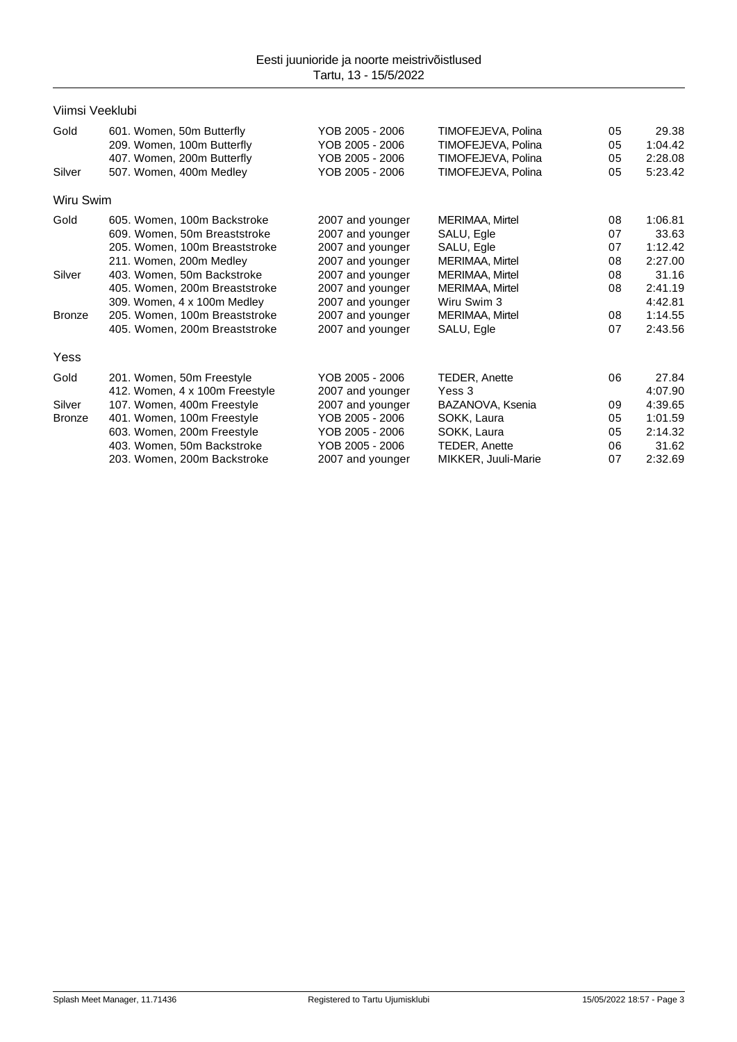| Viimsi Veeklubi |                                |                  |                     |    |         |
|-----------------|--------------------------------|------------------|---------------------|----|---------|
| Gold            | 601. Women, 50m Butterfly      | YOB 2005 - 2006  | TIMOFEJEVA, Polina  | 05 | 29.38   |
|                 | 209. Women, 100m Butterfly     | YOB 2005 - 2006  | TIMOFEJEVA, Polina  | 05 | 1:04.42 |
|                 | 407. Women, 200m Butterfly     | YOB 2005 - 2006  | TIMOFEJEVA, Polina  | 05 | 2:28.08 |
| Silver          | 507. Women, 400m Medley        | YOB 2005 - 2006  | TIMOFEJEVA, Polina  | 05 | 5:23.42 |
| Wiru Swim       |                                |                  |                     |    |         |
| Gold            | 605. Women, 100m Backstroke    | 2007 and younger | MERIMAA, Mirtel     | 08 | 1:06.81 |
|                 | 609. Women, 50m Breaststroke   | 2007 and younger | SALU, Egle          | 07 | 33.63   |
|                 | 205. Women, 100m Breaststroke  | 2007 and younger | SALU, Egle          | 07 | 1:12.42 |
|                 | 211. Women, 200m Medley        | 2007 and younger | MERIMAA, Mirtel     | 08 | 2:27.00 |
| Silver          | 403. Women, 50m Backstroke     | 2007 and younger | MERIMAA, Mirtel     | 08 | 31.16   |
|                 | 405. Women, 200m Breaststroke  | 2007 and younger | MERIMAA, Mirtel     | 08 | 2:41.19 |
|                 | 309. Women, 4 x 100m Medley    | 2007 and younger | Wiru Swim 3         |    | 4:42.81 |
| <b>Bronze</b>   | 205. Women, 100m Breaststroke  | 2007 and younger | MERIMAA, Mirtel     | 08 | 1:14.55 |
|                 | 405. Women, 200m Breaststroke  | 2007 and younger | SALU, Egle          | 07 | 2:43.56 |
| Yess            |                                |                  |                     |    |         |
| Gold            | 201. Women, 50m Freestyle      | YOB 2005 - 2006  | TEDER, Anette       | 06 | 27.84   |
|                 | 412. Women, 4 x 100m Freestyle | 2007 and younger | Yess 3              |    | 4:07.90 |
| Silver          | 107. Women, 400m Freestyle     | 2007 and younger | BAZANOVA, Ksenia    | 09 | 4:39.65 |
| <b>Bronze</b>   | 401. Women, 100m Freestyle     | YOB 2005 - 2006  | SOKK, Laura         | 05 | 1:01.59 |
|                 | 603. Women, 200m Freestyle     | YOB 2005 - 2006  | SOKK, Laura         | 05 | 2:14.32 |
|                 | 403. Women, 50m Backstroke     | YOB 2005 - 2006  | TEDER, Anette       | 06 | 31.62   |
|                 | 203. Women, 200m Backstroke    | 2007 and younger | MIKKER, Juuli-Marie | 07 | 2:32.69 |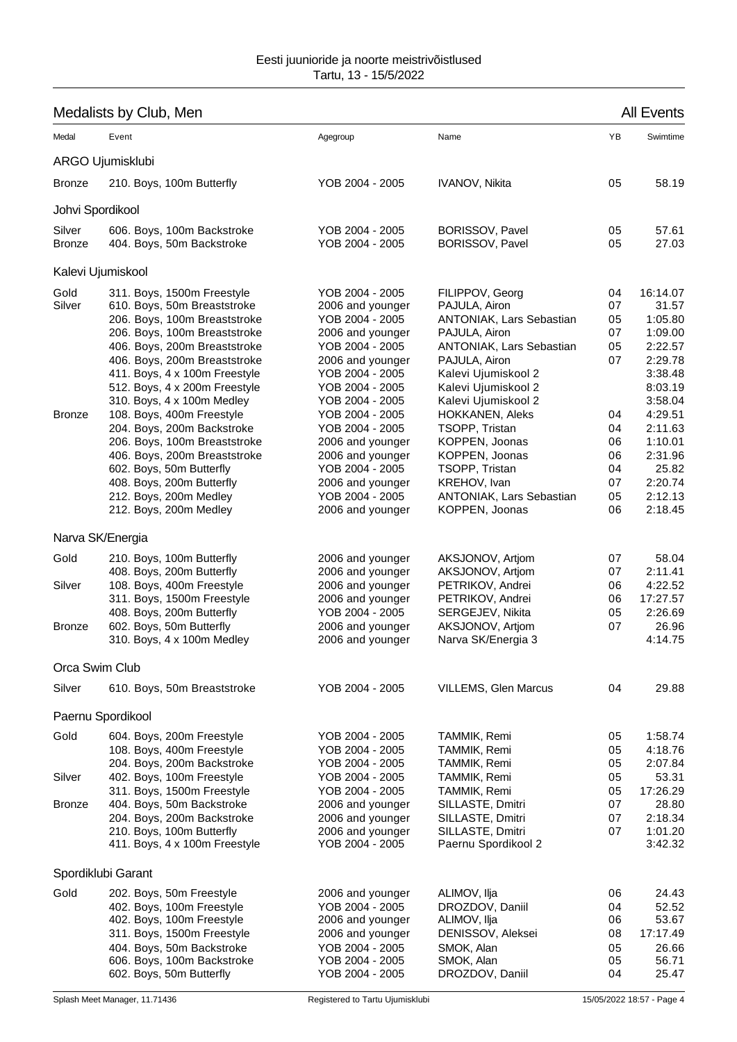## Medalists by Club, Men All Events

| Medal                           | Event                                                                                                                                                                                                                                                                                                                                                                                                                                                                                                                             | Agegroup                                                                                                                                                                                                                                                                                                                               | Name                                                                                                                                                                                                                                                                                                                                                                          | YB                                                                               | Swimtime                                                                                                                                                                             |
|---------------------------------|-----------------------------------------------------------------------------------------------------------------------------------------------------------------------------------------------------------------------------------------------------------------------------------------------------------------------------------------------------------------------------------------------------------------------------------------------------------------------------------------------------------------------------------|----------------------------------------------------------------------------------------------------------------------------------------------------------------------------------------------------------------------------------------------------------------------------------------------------------------------------------------|-------------------------------------------------------------------------------------------------------------------------------------------------------------------------------------------------------------------------------------------------------------------------------------------------------------------------------------------------------------------------------|----------------------------------------------------------------------------------|--------------------------------------------------------------------------------------------------------------------------------------------------------------------------------------|
|                                 | ARGO Ujumisklubi                                                                                                                                                                                                                                                                                                                                                                                                                                                                                                                  |                                                                                                                                                                                                                                                                                                                                        |                                                                                                                                                                                                                                                                                                                                                                               |                                                                                  |                                                                                                                                                                                      |
| <b>Bronze</b>                   | 210. Boys, 100m Butterfly                                                                                                                                                                                                                                                                                                                                                                                                                                                                                                         | YOB 2004 - 2005                                                                                                                                                                                                                                                                                                                        | <b>IVANOV, Nikita</b>                                                                                                                                                                                                                                                                                                                                                         | 05                                                                               | 58.19                                                                                                                                                                                |
| Johvi Spordikool                |                                                                                                                                                                                                                                                                                                                                                                                                                                                                                                                                   |                                                                                                                                                                                                                                                                                                                                        |                                                                                                                                                                                                                                                                                                                                                                               |                                                                                  |                                                                                                                                                                                      |
| Silver<br><b>Bronze</b>         | 606. Boys, 100m Backstroke<br>404. Boys, 50m Backstroke                                                                                                                                                                                                                                                                                                                                                                                                                                                                           | YOB 2004 - 2005<br>YOB 2004 - 2005                                                                                                                                                                                                                                                                                                     | BORISSOV, Pavel<br>BORISSOV, Pavel                                                                                                                                                                                                                                                                                                                                            | 05<br>05                                                                         | 57.61<br>27.03                                                                                                                                                                       |
|                                 | Kalevi Ujumiskool                                                                                                                                                                                                                                                                                                                                                                                                                                                                                                                 |                                                                                                                                                                                                                                                                                                                                        |                                                                                                                                                                                                                                                                                                                                                                               |                                                                                  |                                                                                                                                                                                      |
| Gold<br>Silver<br><b>Bronze</b> | 311. Boys, 1500m Freestyle<br>610. Boys, 50m Breaststroke<br>206. Boys, 100m Breaststroke<br>206. Boys, 100m Breaststroke<br>406. Boys, 200m Breaststroke<br>406. Boys, 200m Breaststroke<br>411. Boys, 4 x 100m Freestyle<br>512. Boys, 4 x 200m Freestyle<br>310. Boys, 4 x 100m Medley<br>108. Boys, 400m Freestyle<br>204. Boys, 200m Backstroke<br>206. Boys, 100m Breaststroke<br>406. Boys, 200m Breaststroke<br>602. Boys, 50m Butterfly<br>408. Boys, 200m Butterfly<br>212. Boys, 200m Medley<br>212. Boys, 200m Medley | YOB 2004 - 2005<br>2006 and younger<br>YOB 2004 - 2005<br>2006 and younger<br>YOB 2004 - 2005<br>2006 and younger<br>YOB 2004 - 2005<br>YOB 2004 - 2005<br>YOB 2004 - 2005<br>YOB 2004 - 2005<br>YOB 2004 - 2005<br>2006 and younger<br>2006 and younger<br>YOB 2004 - 2005<br>2006 and younger<br>YOB 2004 - 2005<br>2006 and younger | FILIPPOV, Georg<br>PAJULA, Airon<br><b>ANTONIAK, Lars Sebastian</b><br>PAJULA, Airon<br>ANTONIAK, Lars Sebastian<br>PAJULA, Airon<br>Kalevi Ujumiskool 2<br>Kalevi Ujumiskool 2<br>Kalevi Ujumiskool 2<br><b>HOKKANEN, Aleks</b><br>TSOPP, Tristan<br>KOPPEN, Joonas<br>KOPPEN, Joonas<br>TSOPP, Tristan<br>KREHOV, Ivan<br><b>ANTONIAK, Lars Sebastian</b><br>KOPPEN, Joonas | 04<br>07<br>05<br>07<br>05<br>07<br>04<br>04<br>06<br>06<br>04<br>07<br>05<br>06 | 16:14.07<br>31.57<br>1:05.80<br>1:09.00<br>2:22.57<br>2:29.78<br>3:38.48<br>8:03.19<br>3:58.04<br>4:29.51<br>2:11.63<br>1:10.01<br>2:31.96<br>25.82<br>2:20.74<br>2:12.13<br>2:18.45 |
|                                 | Narva SK/Energia                                                                                                                                                                                                                                                                                                                                                                                                                                                                                                                  |                                                                                                                                                                                                                                                                                                                                        |                                                                                                                                                                                                                                                                                                                                                                               |                                                                                  |                                                                                                                                                                                      |
| Gold<br>Silver<br><b>Bronze</b> | 210. Boys, 100m Butterfly<br>408. Boys, 200m Butterfly<br>108. Boys, 400m Freestyle<br>311. Boys, 1500m Freestyle<br>408. Boys, 200m Butterfly<br>602. Boys, 50m Butterfly<br>310. Boys, 4 x 100m Medley                                                                                                                                                                                                                                                                                                                          | 2006 and younger<br>2006 and younger<br>2006 and younger<br>2006 and younger<br>YOB 2004 - 2005<br>2006 and younger<br>2006 and younger                                                                                                                                                                                                | AKSJONOV, Artjom<br>AKSJONOV, Artjom<br>PETRIKOV, Andrei<br>PETRIKOV, Andrei<br>SERGEJEV, Nikita<br>AKSJONOV, Artjom<br>Narva SK/Energia 3                                                                                                                                                                                                                                    | 07<br>07<br>06<br>06<br>05<br>07                                                 | 58.04<br>2:11.41<br>4:22.52<br>17:27.57<br>2:26.69<br>26.96<br>4:14.75                                                                                                               |
| Orca Swim Club                  |                                                                                                                                                                                                                                                                                                                                                                                                                                                                                                                                   |                                                                                                                                                                                                                                                                                                                                        |                                                                                                                                                                                                                                                                                                                                                                               |                                                                                  |                                                                                                                                                                                      |
| Silver                          | 610. Boys, 50m Breaststroke                                                                                                                                                                                                                                                                                                                                                                                                                                                                                                       | YOB 2004 - 2005                                                                                                                                                                                                                                                                                                                        | <b>VILLEMS, Glen Marcus</b>                                                                                                                                                                                                                                                                                                                                                   | 04                                                                               | 29.88                                                                                                                                                                                |
|                                 | Paernu Spordikool                                                                                                                                                                                                                                                                                                                                                                                                                                                                                                                 |                                                                                                                                                                                                                                                                                                                                        |                                                                                                                                                                                                                                                                                                                                                                               |                                                                                  |                                                                                                                                                                                      |
| Gold                            | 604. Boys, 200m Freestyle<br>108. Boys, 400m Freestyle<br>204. Boys, 200m Backstroke                                                                                                                                                                                                                                                                                                                                                                                                                                              | YOB 2004 - 2005<br>YOB 2004 - 2005<br>YOB 2004 - 2005                                                                                                                                                                                                                                                                                  | TAMMIK, Remi<br>TAMMIK, Remi<br>TAMMIK, Remi                                                                                                                                                                                                                                                                                                                                  | 05<br>05<br>05                                                                   | 1:58.74<br>4:18.76<br>2:07.84                                                                                                                                                        |
| Silver                          | 402. Boys, 100m Freestyle<br>311. Boys, 1500m Freestyle                                                                                                                                                                                                                                                                                                                                                                                                                                                                           | YOB 2004 - 2005<br>YOB 2004 - 2005                                                                                                                                                                                                                                                                                                     | TAMMIK, Remi<br>TAMMIK, Remi                                                                                                                                                                                                                                                                                                                                                  | 05<br>05                                                                         | 53.31<br>17:26.29                                                                                                                                                                    |
| <b>Bronze</b>                   | 404. Boys, 50m Backstroke<br>204. Boys, 200m Backstroke<br>210. Boys, 100m Butterfly<br>411. Boys, 4 x 100m Freestyle                                                                                                                                                                                                                                                                                                                                                                                                             | 2006 and younger<br>2006 and younger<br>2006 and younger<br>YOB 2004 - 2005                                                                                                                                                                                                                                                            | SILLASTE, Dmitri<br>SILLASTE, Dmitri<br>SILLASTE, Dmitri<br>Paernu Spordikool 2                                                                                                                                                                                                                                                                                               | 07<br>07<br>07                                                                   | 28.80<br>2:18.34<br>1:01.20<br>3:42.32                                                                                                                                               |
|                                 | Spordiklubi Garant                                                                                                                                                                                                                                                                                                                                                                                                                                                                                                                |                                                                                                                                                                                                                                                                                                                                        |                                                                                                                                                                                                                                                                                                                                                                               |                                                                                  |                                                                                                                                                                                      |
| Gold                            | 202. Boys, 50m Freestyle<br>402. Boys, 100m Freestyle<br>402. Boys, 100m Freestyle<br>311. Boys, 1500m Freestyle<br>404. Boys, 50m Backstroke                                                                                                                                                                                                                                                                                                                                                                                     | 2006 and younger<br>YOB 2004 - 2005<br>2006 and younger<br>2006 and younger<br>YOB 2004 - 2005                                                                                                                                                                                                                                         | ALIMOV, Ilja<br>DROZDOV, Daniil<br>ALIMOV, Ilja<br>DENISSOV, Aleksei<br>SMOK, Alan                                                                                                                                                                                                                                                                                            | 06<br>04<br>06<br>08<br>05                                                       | 24.43<br>52.52<br>53.67<br>17:17.49<br>26.66                                                                                                                                         |

606. Boys, 100m Backstroke YOB 2004 - 2005 SMOK, Alan 05 56.71 602. Boys, 50m Butterfly YOB 2004 - 2005 DROZDOV, Daniil 04 25.47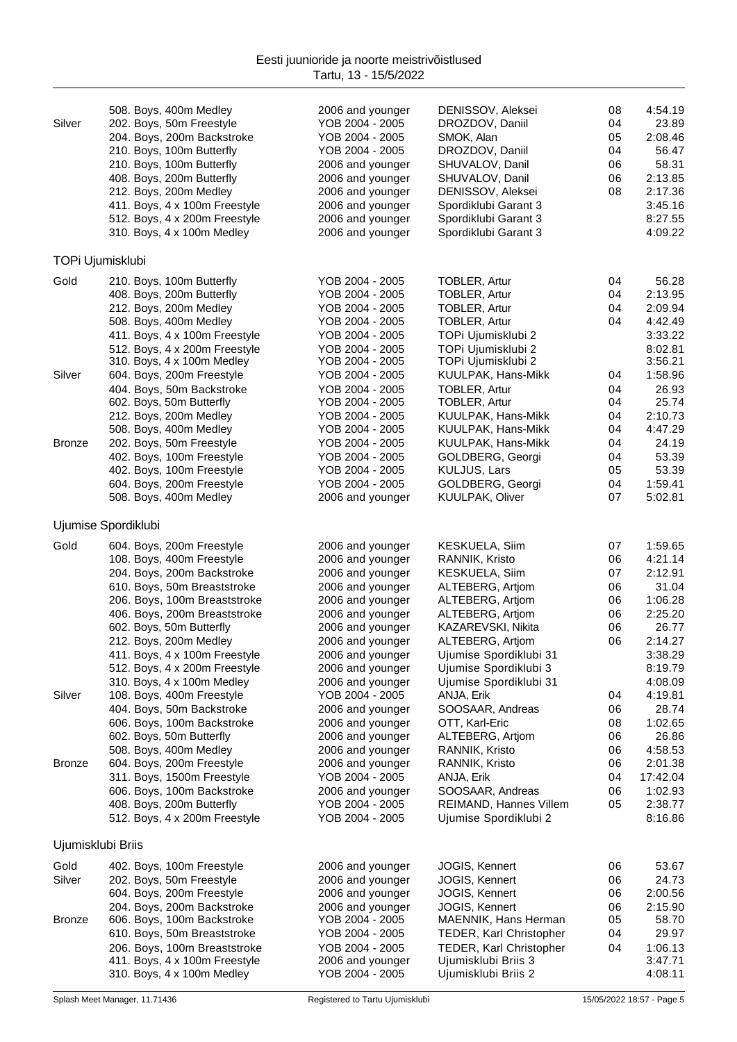|                   | 508. Boys, 400m Medley                                      | 2006 and younger                     | DENISSOV, Aleksei                            | 08       | 4:54.19            |
|-------------------|-------------------------------------------------------------|--------------------------------------|----------------------------------------------|----------|--------------------|
| Silver            | 202. Boys, 50m Freestyle                                    | YOB 2004 - 2005                      | DROZDOV, Daniil                              | 04       | 23.89              |
|                   | 204. Boys, 200m Backstroke                                  | YOB 2004 - 2005                      | SMOK, Alan                                   | 05       | 2:08.46            |
|                   | 210. Boys, 100m Butterfly                                   | YOB 2004 - 2005                      | DROZDOV, Daniil                              | 04       | 56.47              |
|                   | 210. Boys, 100m Butterfly                                   | 2006 and younger                     | SHUVALOV, Danil                              | 06       | 58.31              |
|                   | 408. Boys, 200m Butterfly                                   | 2006 and younger                     | SHUVALOV, Danil                              | 06       | 2:13.85            |
|                   | 212. Boys, 200m Medley                                      | 2006 and younger                     | DENISSOV, Aleksei                            | 08       | 2:17.36            |
|                   | 411. Boys, 4 x 100m Freestyle                               | 2006 and younger                     | Spordiklubi Garant 3                         |          | 3:45.16<br>8:27.55 |
|                   | 512. Boys, 4 x 200m Freestyle<br>310. Boys, 4 x 100m Medley | 2006 and younger<br>2006 and younger | Spordiklubi Garant 3<br>Spordiklubi Garant 3 |          | 4:09.22            |
|                   |                                                             |                                      |                                              |          |                    |
|                   | TOPi Ujumisklubi                                            |                                      |                                              |          |                    |
| Gold              | 210. Boys, 100m Butterfly                                   | YOB 2004 - 2005                      | TOBLER, Artur                                | 04       | 56.28              |
|                   | 408. Boys, 200m Butterfly                                   | YOB 2004 - 2005                      | <b>TOBLER, Artur</b>                         | 04       | 2:13.95            |
|                   | 212. Boys, 200m Medley                                      | YOB 2004 - 2005                      | TOBLER, Artur                                | 04       | 2:09.94            |
|                   | 508. Boys, 400m Medley                                      | YOB 2004 - 2005                      | <b>TOBLER, Artur</b>                         | 04       | 4:42.49            |
|                   | 411. Boys, 4 x 100m Freestyle                               | YOB 2004 - 2005                      | TOPi Ujumisklubi 2                           |          | 3:33.22            |
|                   | 512. Boys, 4 x 200m Freestyle<br>310. Boys, 4 x 100m Medley | YOB 2004 - 2005<br>YOB 2004 - 2005   | TOPi Ujumisklubi 2<br>TOPi Ujumisklubi 2     |          | 8:02.81<br>3:56.21 |
| Silver            | 604. Boys, 200m Freestyle                                   | YOB 2004 - 2005                      | KUULPAK, Hans-Mikk                           | 04       | 1:58.96            |
|                   | 404. Boys, 50m Backstroke                                   | YOB 2004 - 2005                      | <b>TOBLER, Artur</b>                         | 04       | 26.93              |
|                   | 602. Boys, 50m Butterfly                                    | YOB 2004 - 2005                      | TOBLER, Artur                                | 04       | 25.74              |
|                   | 212. Boys, 200m Medley                                      | YOB 2004 - 2005                      | KUULPAK, Hans-Mikk                           | 04       | 2:10.73            |
|                   | 508. Boys, 400m Medley                                      | YOB 2004 - 2005                      | KUULPAK, Hans-Mikk                           | 04       | 4:47.29            |
| <b>Bronze</b>     | 202. Boys, 50m Freestyle                                    | YOB 2004 - 2005                      | KUULPAK, Hans-Mikk                           | 04       | 24.19              |
|                   | 402. Boys, 100m Freestyle                                   | YOB 2004 - 2005                      | GOLDBERG, Georgi                             | 04       | 53.39              |
|                   | 402. Boys, 100m Freestyle                                   | YOB 2004 - 2005                      | KULJUS, Lars                                 | 05       | 53.39              |
|                   | 604. Boys, 200m Freestyle                                   | YOB 2004 - 2005                      | GOLDBERG, Georgi                             | 04       | 1:59.41            |
|                   | 508. Boys, 400m Medley                                      | 2006 and younger                     | <b>KUULPAK, Oliver</b>                       | 07       | 5:02.81            |
|                   | Ujumise Spordiklubi                                         |                                      |                                              |          |                    |
| Gold              | 604. Boys, 200m Freestyle                                   | 2006 and younger                     | <b>KESKUELA, Siim</b>                        | 07       | 1:59.65            |
|                   | 108. Boys, 400m Freestyle                                   | 2006 and younger                     | RANNIK, Kristo                               | 06       | 4:21.14            |
|                   | 204. Boys, 200m Backstroke                                  | 2006 and younger                     | KESKUELA, Siim                               | 07       | 2:12.91            |
|                   | 610. Boys, 50m Breaststroke                                 | 2006 and younger                     | ALTEBERG, Artjom                             | 06       | 31.04              |
|                   | 206. Boys, 100m Breaststroke                                | 2006 and younger                     | ALTEBERG, Artjom                             | 06       | 1:06.28            |
|                   | 406. Boys, 200m Breaststroke                                | 2006 and younger                     | ALTEBERG, Artjom                             | 06       | 2:25.20            |
|                   | 602. Boys, 50m Butterfly                                    | 2006 and younger                     | KAZAREVSKI, Nikita                           | 06       | 26.77              |
|                   | 212. Boys, 200m Medley                                      | 2006 and younger                     | ALTEBERG, Artjom                             | 06       | 2:14.27            |
|                   | 411. Boys, 4 x 100m Freestyle                               | 2006 and younger                     | Ujumise Spordiklubi 31                       |          | 3:38.29            |
|                   | 512. Boys, 4 x 200m Freestyle                               | 2006 and younger                     | Ujumise Spordiklubi 3                        |          | 8:19.79            |
|                   | 310. Boys, 4 x 100m Medley                                  | 2006 and younger                     | Ujumise Spordiklubi 31                       |          | 4:08.09            |
| Silver            | 108. Boys, 400m Freestyle<br>404. Boys, 50m Backstroke      | YOB 2004 - 2005                      | ANJA, Erik                                   | 04       | 4:19.81<br>28.74   |
|                   | 606. Boys, 100m Backstroke                                  | 2006 and younger<br>2006 and younger | SOOSAAR, Andreas<br>OTT, Karl-Eric           | 06<br>08 | 1:02.65            |
|                   | 602. Boys, 50m Butterfly                                    | 2006 and younger                     | ALTEBERG, Artjom                             | 06       | 26.86              |
|                   | 508. Boys, 400m Medley                                      | 2006 and younger                     | RANNIK, Kristo                               | 06       | 4:58.53            |
| <b>Bronze</b>     | 604. Boys, 200m Freestyle                                   | 2006 and younger                     | RANNIK, Kristo                               | 06       | 2:01.38            |
|                   | 311. Boys, 1500m Freestyle                                  | YOB 2004 - 2005                      | ANJA, Erik                                   | 04       | 17:42.04           |
|                   | 606. Boys, 100m Backstroke                                  | 2006 and younger                     | SOOSAAR, Andreas                             | 06       | 1:02.93            |
|                   | 408. Boys, 200m Butterfly                                   | YOB 2004 - 2005                      | REIMAND, Hannes Villem                       | 05       | 2:38.77            |
|                   | 512. Boys, 4 x 200m Freestyle                               | YOB 2004 - 2005                      | Ujumise Spordiklubi 2                        |          | 8:16.86            |
| Ujumisklubi Briis |                                                             |                                      |                                              |          |                    |
| Gold              | 402. Boys, 100m Freestyle                                   | 2006 and younger                     | JOGIS, Kennert                               | 06       | 53.67              |
| Silver            | 202. Boys, 50m Freestyle                                    | 2006 and younger                     | JOGIS, Kennert                               | 06       | 24.73              |
|                   | 604. Boys, 200m Freestyle                                   | 2006 and younger                     | JOGIS, Kennert                               | 06       | 2:00.56            |
|                   | 204. Boys, 200m Backstroke                                  | 2006 and younger                     | JOGIS, Kennert                               | 06       | 2:15.90            |
| <b>Bronze</b>     | 606. Boys, 100m Backstroke                                  | YOB 2004 - 2005                      | MAENNIK, Hans Herman                         | 05       | 58.70              |
|                   | 610. Boys, 50m Breaststroke                                 | YOB 2004 - 2005                      | TEDER, Karl Christopher                      | 04       | 29.97              |
|                   | 206. Boys, 100m Breaststroke                                | YOB 2004 - 2005                      | TEDER, Karl Christopher                      | 04       | 1:06.13            |
|                   | 411. Boys, 4 x 100m Freestyle                               | 2006 and younger                     | Ujumisklubi Briis 3                          |          | 3:47.71            |
|                   | 310. Boys, 4 x 100m Medley                                  | YOB 2004 - 2005                      | Ujumisklubi Briis 2                          |          | 4:08.11            |